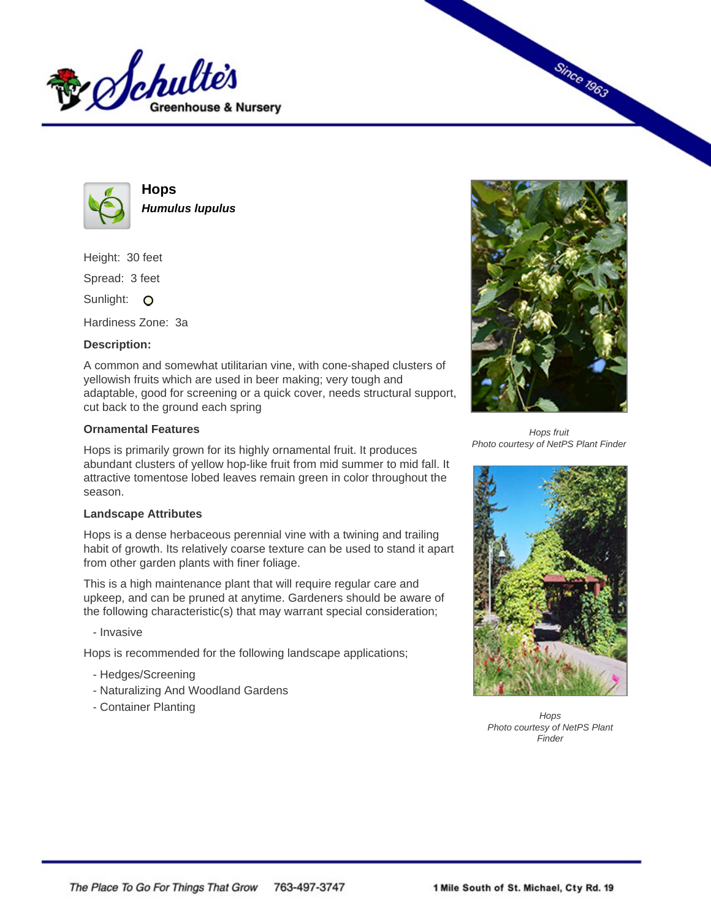



**Hops Humulus lupulus**

Height: 30 feet Spread: 3 feet

Sunlight: O

Hardiness Zone: 3a

## **Description:**

A common and somewhat utilitarian vine, with cone-shaped clusters of yellowish fruits which are used in beer making; very tough and adaptable, good for screening or a quick cover, needs structural support, cut back to the ground each spring

## **Ornamental Features**

Hops is primarily grown for its highly ornamental fruit. It produces abundant clusters of yellow hop-like fruit from mid summer to mid fall. It attractive tomentose lobed leaves remain green in color throughout the season.

## **Landscape Attributes**

Hops is a dense herbaceous perennial vine with a twining and trailing habit of growth. Its relatively coarse texture can be used to stand it apart from other garden plants with finer foliage.

This is a high maintenance plant that will require regular care and upkeep, and can be pruned at anytime. Gardeners should be aware of the following characteristic(s) that may warrant special consideration;

- Invasive

Hops is recommended for the following landscape applications;

- Hedges/Screening
- Naturalizing And Woodland Gardens
- Container Planting



**Since 1963** 

Hops fruit Photo courtesy of NetPS Plant Finder



**Hops** Photo courtesy of NetPS Plant **Finder**